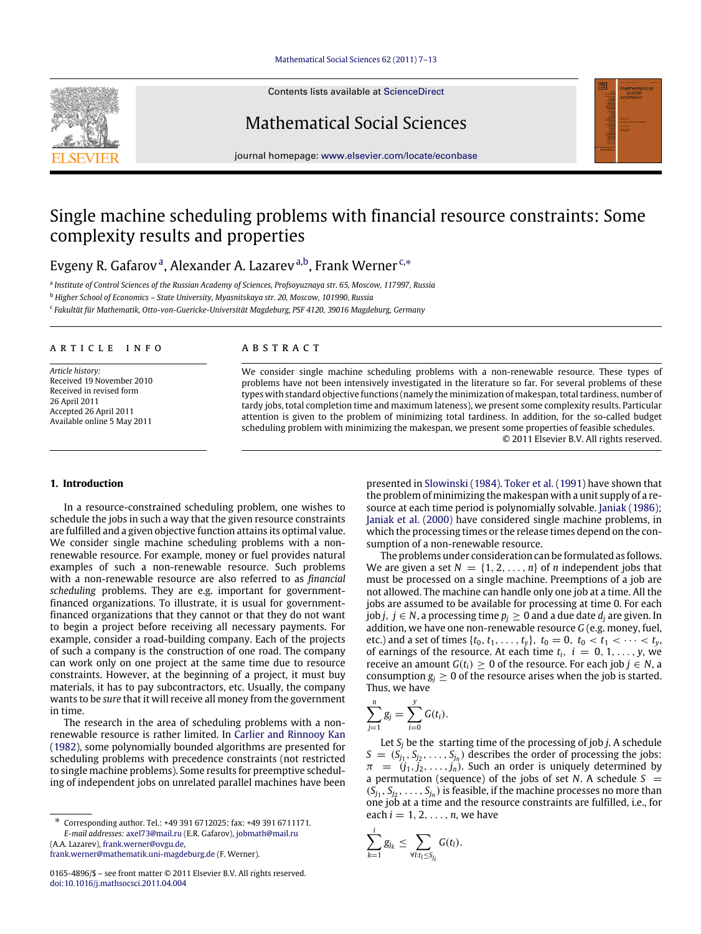#### [Mathematical Social Sciences 62 \(2011\) 7–13](http://dx.doi.org/10.1016/j.mathsocsci.2011.04.004)

Contents lists available at [ScienceDirect](http://www.elsevier.com/locate/econbase)



journal homepage: [www.elsevier.com/locate/econbase](http://www.elsevier.com/locate/econbase)

# Single machine scheduling problems with financial resource constraints: Some complexity results and properties

Evgeny R. G[a](#page-0-0)farov<sup>a</sup>, Alexander A. Lazarev<sup>[a,](#page-0-0)[b](#page-0-1)</sup>, Frank Werner<sup>[c,](#page-0-2)</sup>\*

<span id="page-0-0"></span>a *Institute of Control Sciences of the Russian Academy of Sciences, Profsoyuznaya str. 65, Moscow, 117997, Russia*

<span id="page-0-1"></span><sup>b</sup> *Higher School of Economics – State University, Myasnitskaya str. 20, Moscow, 101990, Russia*

<span id="page-0-2"></span>c *Fakultät für Mathematik, Otto-von-Guericke-Universität Magdeburg, PSF 4120, 39016 Magdeburg, Germany*

### ARTICLE INFO

*Article history:* Received 19 November 2010 Received in revised form 26 April 2011 Accepted 26 April 2011 Available online 5 May 2011

## a b s t r a c t

We consider single machine scheduling problems with a non-renewable resource. These types of problems have not been intensively investigated in the literature so far. For several problems of these types with standard objective functions (namely the minimization of makespan, total tardiness, number of tardy jobs, total completion time and maximum lateness), we present some complexity results. Particular attention is given to the problem of minimizing total tardiness. In addition, for the so-called budget scheduling problem with minimizing the makespan, we present some properties of feasible schedules. © 2011 Elsevier B.V. All rights reserved.

## <span id="page-0-4"></span>**1. Introduction**

In a resource-constrained scheduling problem, one wishes to schedule the jobs in such a way that the given resource constraints are fulfilled and a given objective function attains its optimal value. We consider single machine scheduling problems with a nonrenewable resource. For example, money or fuel provides natural examples of such a non-renewable resource. Such problems with a non-renewable resource are also referred to as *financial scheduling* problems. They are e.g. important for governmentfinanced organizations. To illustrate, it is usual for governmentfinanced organizations that they cannot or that they do not want to begin a project before receiving all necessary payments. For example, consider a road-building company. Each of the projects of such a company is the construction of one road. The company can work only on one project at the same time due to resource constraints. However, at the beginning of a project, it must buy materials, it has to pay subcontractors, etc. Usually, the company wants to be *sure* that it will receive all money from the government in time.

The research in the area of scheduling problems with a nonrenewable resource is rather limited. In [Carlier](#page-5-0) [and](#page-5-0) [Rinnooy](#page-5-0) [Kan](#page-5-0) [\(1982\)](#page-5-0), some polynomially bounded algorithms are presented for scheduling problems with precedence constraints (not restricted to single machine problems). Some results for preemptive scheduling of independent jobs on unrelated parallel machines have been

<span id="page-0-3"></span>∗ Corresponding author. Tel.: +49 391 6712025; fax: +49 391 6711171. *E-mail addresses:* [axel73@mail.ru](mailto:axel73@mail.ru) (E.R. Gafarov), [jobmath@mail.ru](mailto:jobmath@mail.ru) (A.A. Lazarev), [frank.werner@ovgu.de,](mailto:frank.werner@ovgu.de)

[frank.werner@mathematik.uni-magdeburg.de](mailto:frank.werner@mathematik.uni-magdeburg.de) (F. Werner).

presented in [Slowinski](#page-6-0) [\(1984\)](#page-6-0). [Toker](#page-6-1) [et al.](#page-6-1) [\(1991\)](#page-6-1) have shown that the problem of minimizing the makespan with a unit supply of a re-source at each time period is polynomially solvable. [Janiak](#page-5-1) [\(1986\);](#page-5-1) [Janiak](#page-5-2) [et al.](#page-5-2) [\(2000\)](#page-5-2) have considered single machine problems, in which the processing times or the release times depend on the consumption of a non-renewable resource.

The problems under consideration can be formulated as follows. We are given a set  $N = \{1, 2, ..., n\}$  of *n* independent jobs that must be processed on a single machine. Preemptions of a job are not allowed. The machine can handle only one job at a time. All the jobs are assumed to be available for processing at time 0. For each *job <i>j*, *j* ∈ *N*, a processing time  $p_i$  ≥ 0 and a due date  $d_i$  are given. In addition, we have one non-renewable resource *G* (e.g. money, fuel, etc.) and a set of times  $\{t_0, t_1, \ldots, t_y\}$ ,  $t_0 = 0$ ,  $t_0 < t_1 < \cdots < t_y$ , of earnings of the resource. At each time  $t_i$ ,  $i = 0, 1, \ldots, y$ , we receive an amount  $G(t_i) \geq 0$  of the resource. For each job  $j \in N$ , a consumption  $g_i \geq 0$  of the resource arises when the job is started. Thus, we have

$$
\sum_{j=1}^n g_j = \sum_{i=0}^y G(t_i).
$$

Let  $S_i$  be the starting time of the processing of job *j*. A schedule  $S = (S_{j_1}, S_{j_2}, \ldots, S_{j_n})$  describes the order of processing the jobs:  $\pi = (j_1, j_2, \ldots, j_n)$ . Such an order is uniquely determined by a permutation (sequence) of the jobs of set *N*. A schedule  $S =$  $(S_{j_1}, S_{j_2}, \ldots, S_{j_n})$  is feasible, if the machine processes no more than one job at a time and the resource constraints are fulfilled, i.e., for each  $i = 1, 2, \ldots, n$ , we have

$$
\sum_{k=1}^{\cdot} g_{j_k} \leq \sum_{\forall l: t_l \leq S_{j_i}} G(t_l).
$$

*i*



<sup>0165-4896/\$ –</sup> see front matter © 2011 Elsevier B.V. All rights reserved. [doi:10.1016/j.mathsocsci.2011.04.004](http://dx.doi.org/10.1016/j.mathsocsci.2011.04.004)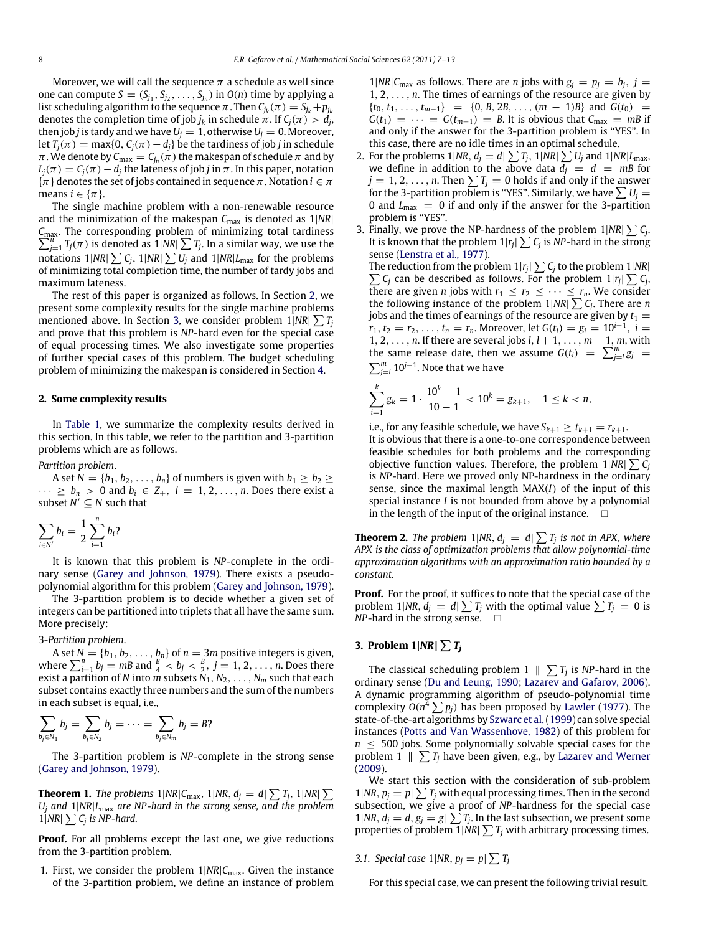Moreover, we will call the sequence  $\pi$  a schedule as well since one can compute  $S = (S_{j_1}, S_{j_2}, \ldots, S_{j_n})$  in  $O(n)$  time by applying a list scheduling algorithm to the sequence  $\pi$  . Then  $C_{j_k}(\pi) = S_{j_k} + p_{j_k}$ denotes the completion time of job  $j_k$  in schedule  $\pi$  . If  $\mathcal{C}_j(\pi) > d_j$ , then job *j* is tardy and we have  $U_i = 1$ , otherwise  $U_i = 0$ . Moreover, let  $T_j(\pi) = \max\{0, C_j(\pi) - d_j\}$  be the tardiness of job *j* in schedule  $\pi$  . We denote by  $\mathcal{C}_{\text{max}} = \mathcal{C}_{j_n}(\pi)$  the makespan of schedule  $\pi$  and by  $L_i(\pi) = C_i(\pi) - d_i$  the lateness of job *j* in  $\pi$ . In this paper, notation  $\{\pi\}$  denotes the set of jobs contained in sequence  $\pi$ . Notation  $i \in \pi$ means  $i \in {\pi}$ .

The single machine problem with a non-renewable resource and the minimization of the makespan  $C_{\text{max}}$  is denoted as  $1|NR|$ C<sub>max</sub>. The corresponding problem of minimizing total tardiness  $C_{\text{max}}$ . The corresponding problem of minimizing total tardiness  $\sum_{j=1}^{n} T_j(\pi)$  is denoted as 1|NR|  $\sum T_j$ . In a similar way, we use the notations 1|NR|  $\sum C_j$ , 1|NR|  $\sum U_j$  and 1|NR| $L_{\rm max}$  for the problems of minimizing total completion time, the number of tardy jobs and maximum lateness.

The rest of this paper is organized as follows. In Section [2,](#page-1-0) we present some complexity results for the single machine problems mentioned above. In Section [3,](#page-1-1) we consider problem 1|*NR*| ∑*T<sup>j</sup>* and prove that this problem is *NP*-hard even for the special case of equal processing times. We also investigate some properties of further special cases of this problem. The budget scheduling problem of minimizing the makespan is considered in Section [4.](#page-5-3)

#### <span id="page-1-0"></span>**2. Some complexity results**

In [Table 1,](#page-2-0) we summarize the complexity results derived in this section. In this table, we refer to the partition and 3-partition problems which are as follows.

*Partition problem*.

A set  $N = \{b_1, b_2, \ldots, b_n\}$  of numbers is given with  $b_1 \geq b_2 \geq$  $\cdots \ge b_n > 0$  and  $b_i \in Z_+, i = 1, 2, \ldots, n$ . Does there exist a subset  $N' \subseteq N$  such that

$$
\sum_{i\in N'}b_i=\frac{1}{2}\sum_{i=1}^n b_i?
$$

It is known that this problem is *NP*-complete in the ordinary sense [\(Garey](#page-5-4) [and](#page-5-4) [Johnson,](#page-5-4) [1979\)](#page-5-4). There exists a pseudopolynomial algorithm for this problem [\(Garey](#page-5-4) [and](#page-5-4) [Johnson,](#page-5-4) [1979\)](#page-5-4).

The 3-partition problem is to decide whether a given set of integers can be partitioned into triplets that all have the same sum. More precisely:

3-*Partition problem*.

A set  $N = \{b_1, b_2, \ldots, b_n\}$  of  $n = 3m$  positive integers is given, where  $\sum_{i=1}^{n} b_j = mB$  and  $\frac{B}{4} < b_j < \frac{B}{2}$ ,  $j = 1, 2, ..., n$ . Does there exist a partition of *N* into *m* subsets *N*1, *N*2, . . . , *N<sup>m</sup>* such that each subset contains exactly three numbers and the sum of the numbers in each subset is equal, i.e.,

$$
\sum_{b_j\in N_1}b_j=\sum_{b_j\in N_2}b_j=\cdots=\sum_{b_j\in N_m}b_j=B?
$$

The 3-partition problem is *NP*-complete in the strong sense [\(Garey](#page-5-4) [and](#page-5-4) [Johnson,](#page-5-4) [1979\)](#page-5-4).

<span id="page-1-2"></span>**Theorem 1.** *The problems*  $1|NR|C_{\text{max}}$ ,  $1|NR$ ,  $d_j = d|\sum T_j$ ,  $1|NR|\sum T_j$ *U<sup>j</sup> and* 1|*NR*|*L*max *are NP-hard in the strong sense, and the problem*  $1|NR| \sum C_j$  *is NP-hard.* 

**Proof.** For all problems except the last one, we give reductions from the 3-partition problem.

1. First, we consider the problem  $1|NR|C_{\text{max}}$ . Given the instance of the 3-partition problem, we define an instance of problem 1|*NR*| $C_{\text{max}}$  as follows. There are *n* jobs with  $g_j = p_j = b_j$ ,  $j =$ 1, 2, . . . , *n*. The times of earnings of the resource are given by  ${t_0, t_1, \ldots, t_{m-1}} = {0, B, 2B, \ldots, (m-1)B}$  and  $G(t_0)$  =  $G(t_1) = \cdots = G(t_{m-1}) = B$ . It is obvious that  $C_{\text{max}} = mB$  if and only if the answer for the 3-partition problem is ''YES''. In this case, there are no idle times in an optimal schedule.

- 2. For the problems  $1|NR$ ,  $d_j = d \sum T_j$ ,  $1|NR| \sum U_j$  and  $1|NR|L_{\text{max}}$ , we define in addition to the above data  $\overline{d_j} = d = mB$  for  $j = 1, 2, \ldots, n$ . Then  $\sum T_j = 0$  holds if and only if the answer for the 3-partition problem is "YES". Similarly, we have  $\sum U_j =$ 0 and *L*max = 0 if and only if the answer for the 3-partition problem is "YES".
- 3. Finally, we prove the NP-hardness of the problem  $1|NR| \sum C_j$ . It is known that the problem  $1|r_j| \sum C_j$  is NP-hard in the strong sense [\(Lenstra](#page-6-2) [et al.,](#page-6-2) [1977\)](#page-6-2).

The reduction from the problem  $1|r_j| \sum C_j$  to the problem  $1|NR|$  $\sum C_j$  can be described as follows. For the problem  $1|r_j| \sum C_j$ , there are given *n* jobs with  $r_1 \leq r_2 \leq \cdots \leq r_n$ . We consider the following instance of the problem  $1|NR| \sum C_j$ . There are *n* jobs and the times of earnings of the resource are given by  $t_1 =$  $r_1, t_2 = r_2, \ldots, t_n = r_n$ . Moreover, let  $G(t_i) = g_i = 10^{i-1}$ ,  $i =$ 1, 2, . . . , *n*. If there are several jobs *l*, *l* + 1, . . . , *m* − 1, *m*, with the same release date, then we assume  $G(t_l) = \sum_{j=l}^{m} g_j$  $\sum_{j=1}^{m} 10^{j-1}$ . Note that we have

$$
\sum_{i=1}^k g_k = 1 \cdot \frac{10^k - 1}{10 - 1} < 10^k = g_{k+1}, \quad 1 \leq k < n,
$$

i.e., for any feasible schedule, we have  $S_{k+1} \ge t_{k+1} = r_{k+1}$ .

It is obvious that there is a one-to-one correspondence between feasible schedules for both problems and the corresponding objective function values. Therefore, the problem  $1|NR| \sum C_j$ is *NP*-hard. Here we proved only NP-hardness in the ordinary sense, since the maximal length MAX(*I*) of the input of this special instance *I* is not bounded from above by a polynomial in the length of the input of the original instance.  $\Box$ 

**Theorem 2.** *The problem*  $1|NR, d_j = d \sum T_j$  *is not in APX, where APX is the class of optimization problems that allow polynomial-time approximation algorithms with an approximation ratio bounded by a constant.*

**Proof.** For the proof, it suffices to note that the special case of the problem 1|NR,  $d_j = d_j \sum T_j$  with the optimal value  $\sum T_j = 0$  is  $NP$ -hard in the strong sense.  $\Box$ 

## <span id="page-1-1"></span>**3. Problem 1**|*NR*| ∑*T<sup>j</sup>*

The classical scheduling problem  $1 \parallel \sum T_j$  is *NP*-hard in the ordinary sense [\(Du](#page-5-5) [and](#page-5-5) [Leung,](#page-5-5) [1990;](#page-5-5) [Lazarev](#page-5-6) [and](#page-5-6) [Gafarov,](#page-5-6) [2006\)](#page-5-6). A dynamic programming algorithm of pseudo-polynomial time complexity  $O(n^4 \sum p_j)$  has been proposed by [Lawler](#page-5-7) [\(1977\)](#page-5-7). The state-of-the-art algorithms by [Szwarc](#page-6-3) [et al.\(1999\)](#page-6-3) can solve special instances [\(Potts](#page-6-4) [and](#page-6-4) [Van](#page-6-4) [Wassenhove,](#page-6-4) [1982\)](#page-6-4) of this problem for  $n \leq 500$  jobs. Some polynomially solvable special cases for the problem 1  $\parallel \sum T_j$  have been given, e.g., by [Lazarev](#page-6-5) [and](#page-6-5) [Werner](#page-6-5) [\(2009\)](#page-6-5).

We start this section with the consideration of sub-problem 1|*NR*,  $p_j = p \sum T_j$  with equal processing times. Then in the second subsection, we give a proof of *NP*-hardness for the special case 1|*NR*,  $d_j = d$ ,  $g_j = g \sum T_j$ . In the last subsection, we present some properties of problem  $1$ |NR|  $\sum T_j$  with arbitrary processing times.

*3.1. Special case*  $1|NR, p_j = p \geq T_j$ 

For this special case, we can present the following trivial result.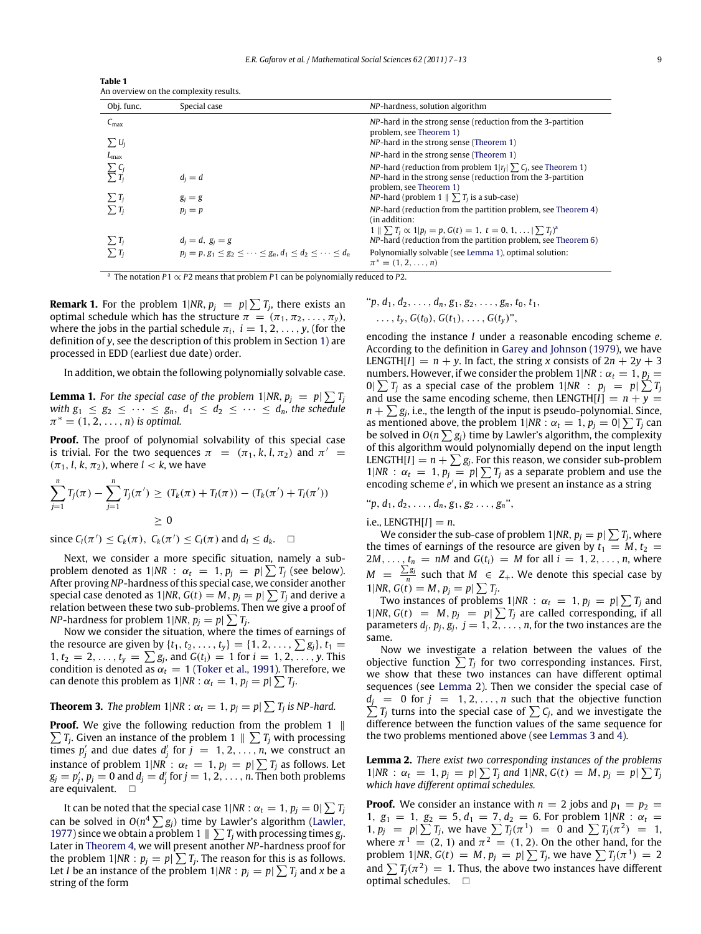<span id="page-2-0"></span>

| Table 1                                |
|----------------------------------------|
| An overview on the complexity results. |

| Obj. func.                                        | Special case                                                                                          | NP-hardness, solution algorithm                                                                                                                                                                                                                             |
|---------------------------------------------------|-------------------------------------------------------------------------------------------------------|-------------------------------------------------------------------------------------------------------------------------------------------------------------------------------------------------------------------------------------------------------------|
| $C_{\text{max}}$<br>$\sum U_i$                    |                                                                                                       | NP-hard in the strong sense (reduction from the 3-partition<br>problem, see Theorem 1)<br>NP-hard in the strong sense (Theorem 1)                                                                                                                           |
| $L_{\rm max}$                                     |                                                                                                       | NP-hard in the strong sense (Theorem 1)                                                                                                                                                                                                                     |
| $\sum C_i$<br>$\overline{\sum}~T_i$<br>$\sum T_i$ | $d_i = d$<br>$g_i = g$                                                                                | NP-hard (reduction from problem $1 r_i  \sum C_i$ , see Theorem 1)<br>NP-hard in the strong sense (reduction from the 3-partition<br>problem, see Theorem 1)<br><i>NP</i> -hard (problem $1 \parallel \sum T_i$ is a sub-case)                              |
| $\sum T_i$                                        | $p_i = p$                                                                                             | NP-hard (reduction from the partition problem, see Theorem 4)<br>(in addition:                                                                                                                                                                              |
| $\sum T_i$<br>$\sum T_i$                          | $d_i = d, g_i = g$<br>$p_i = p, g_1 \leq g_2 \leq \cdots \leq g_n, d_1 \leq d_2 \leq \cdots \leq d_n$ | $1 \parallel \sum T_i \propto 1   p_i = p$ , $G(t) = 1$ , $t = 0, 1,  \mid \sum T_i$ <sup>a</sup><br>NP-hard (reduction from the partition problem, see Theorem 6)<br>Polynomially solvable (see Lemma 1), optimal solution:<br>$\pi^* = (1, 2, \ldots, n)$ |

<span id="page-2-1"></span>a The notation *P*1 ∝ *P*2 means that problem *P*1 can be polynomially reduced to *P*2.

**Remark 1.** For the problem  $1|NR, p_j = p| \sum T_j$ , there exists an optimal schedule which has the structure  $\pi = (\pi_1, \pi_2, \dots, \pi_y)$ , where the jobs in the partial schedule  $\pi_i$ ,  $i = 1, 2, \ldots, y$ , (for the definition of *y*, see the description of this problem in Section [1\)](#page-0-4) are processed in EDD (earliest due date) order.

<span id="page-2-2"></span>In addition, we obtain the following polynomially solvable case.

**Lemma 1.** For the special case of the problem  $1|NR, p_j = p|\sum T_j$ *with*  $g_1 \leq g_2 \leq \cdots \leq g_n$ ,  $d_1 \leq d_2 \leq \cdots \leq d_n$ , the schedule  $\pi^* = (1, 2, \ldots, n)$  *is optimal.* 

**Proof.** The proof of polynomial solvability of this special case is trivial. For the two sequences  $\pi = (\pi_1, k, l, \pi_2)$  and  $\pi' =$  $(\pi_1, l, k, \pi_2)$ , where  $l < k$ , we have

$$
\sum_{j=1}^{n} T_j(\pi) - \sum_{j=1}^{n} T_j(\pi') \ge (T_k(\pi) + T_l(\pi)) - (T_k(\pi') + T_l(\pi'))
$$
  
\n
$$
\ge 0
$$

since  $C_l(\pi') \leq C_k(\pi), C_k(\pi') \leq C_l(\pi)$  and  $d_l \leq d_k$ .  $\Box$ 

Next, we consider a more specific situation, namely a subproblem denoted as  $1|NR : \alpha_t = 1, p_j = p | \sum T_j$  (see below). After proving *NP*-hardness of this special case, we consider another special case denoted as 1|NR,  $G(t) = M$ ,  $p_j = p / \sum T_j$  and derive a relation between these two sub-problems. Then we give a proof of *NP*-hardness for problem 1|*NR*,  $p_j = p / \sum T_j$ .

Now we consider the situation, where the times of earnings of the resource are given by  $\{t_1, t_2, ..., t_y\} = \{1, 2, ..., \sum g_j\}, t_1 =$  $1, t_2 = 2, \ldots, t_y = \sum g_j$ , and  $G(t_i) = 1$  for  $i = 1, 2, \ldots, y$ . This condition is denoted as  $\alpha_t = 1$  [\(Toker](#page-6-1) [et al.,](#page-6-1) [1991\)](#page-6-1). Therefore, we can denote this problem as  $1|NR: \alpha_t = 1, p_j = p \sum T_j$ .

<span id="page-2-4"></span>**Theorem 3.** *The problem*  $1|NR: \alpha_t = 1, p_j = p | \sum_i T_j$  *is NP-hard.* 

**Proof.** We give the following reduction from the problem 1  $\parallel$  $\sum T_j$ . Given an instance of the problem 1  $\parallel$   $\sum T_j$  with processing times  $p'_j$  and due dates  $d'_j$  for  $j = 1, 2, ..., n$ , we construct an instance of problem 1|NR :  $\alpha_t = 1$ ,  $p_j = p / \sum T_j$  as follows. Let  $g_j = p'_j, p_j = 0$  and  $d_j = d'_j$  for  $j = 1, 2, \ldots, n$ . Then both problems are equivalent.  $\square$ 

It can be noted that the special case 1|NR :  $\alpha_t = 1, p_j = 0$ |  $\sum T_j$ can be solved in  $O(n^4\sum g_j)$  time by Lawler's algorithm [\(Lawler,](#page-5-7) [1977\)](#page-5-7) since we obtain a problem 1  $\parallel \sum T_j$  with processing times  $g_j$ . Later in [Theorem 4,](#page-3-0) we will present another *NP*-hardness proof for the problem  $1|NR: p_j = p \geq T_j$ . The reason for this is as follows. Let *I* be an instance of the problem 1|NR :  $p_j = p / \sum T_j$  and x be a string of the form

"
$$
p, d_1, d_2, ..., d_n, g_1, g_2, ..., g_n, t_0, t_1,
$$
  
...,  $t_y, G(t_0), G(t_1), ..., G(t_y)$ ",

encoding the instance *I* under a reasonable encoding scheme *e*. According to the definition in [Garey](#page-5-4) [and](#page-5-4) [Johnson](#page-5-4) [\(1979\)](#page-5-4), we have LENGTH[*I*] =  $n + y$ . In fact, the string *x* consists of  $2n + 2y + 3$ numbers. However, if we consider the problem  $1|NR: \alpha_t = 1$ ,  $p_j =$ 0|  $\sum T_j$  as a special case of the problem 1|NR :  $p_j = p/\sum T_j$ and use the same encoding scheme, then LENGTH[ $I$ ] =  $n + y$  =  $n + \sum g_j$ , i.e., the length of the input is pseudo-polynomial. Since, as mentioned above, the problem  $1|NR: \alpha_t = 1, p_j = 0 | \sum T_j$  can be solved in  $O(n \sum g_j)$  time by Lawler's algorithm, the complexity of this algorithm would polynomially depend on the input length LENGTH[*I*] =  $n + \sum g_j$ . For this reason, we consider sub-problem 1|*NR* :  $\alpha_t = 1$ ,  $p_j = p / \sum T_j$  as a separate problem and use the encoding scheme *e'*, in which we present an instance as a string

"
$$
p, d_1, d_2, \ldots, d_n, g_1, g_2 \ldots, g_n
$$
",

 $i.e.,  $LENGTH[I] = n$ .$ 

We consider the sub-case of problem  $1|NR, p_j = p| \sum T_j$ , where the times of earnings of the resource are given by  $t_1 = M$ ,  $t_2 =$ 2*M*, ...,  $t_n = nM$  and  $G(t_i) = M$  for all  $i = 1, 2, ..., n$ , where *M* =  $\frac{\sum g_j}{n}$  such that *M* ∈ *Z*<sub>+</sub>. We denote this special case by 1|*NR*,  $G(t) = M$ ,  $p_j = p | \sum T_j$ .

Two instances of problems  $1|NR: \alpha_t = 1, p_j = p / \sum T_j$  and 1|*NR*,  $G(t) = M$ ,  $p_j = p \sum T_j$  are called corresponding, if all parameters  $d_j$ ,  $p_j$ ,  $g_j$ ,  $j = 1, 2, \ldots, n$ , for the two instances are the same.

Now we investigate a relation between the values of the objective function  $\sum T_j$  for two corresponding instances. First, we show that these two instances can have different optimal sequences (see [Lemma 2\)](#page-2-3). Then we consider the special case of  $d_j = 0$  for  $j = 1, 2, ..., n$  such that the objective function  $\sum T_j$  turns into the special case of  $\sum C_j$ , and we investigate the difference between the function values of the same sequence for the two problems mentioned above (see [Lemmas 3](#page-3-1) and [4\)](#page-3-2).

<span id="page-2-3"></span>**Lemma 2.** *There exist two corresponding instances of the problems*  $1|NR: \alpha_t = 1, p_j = p \sum T_j$  and  $1|NR, G(t) = M, p_j = p \sum T_j$ *which have different optimal schedules.*

**Proof.** We consider an instance with  $n = 2$  jobs and  $p_1 = p_2$ 1,  $g_1 = 1$ ,  $g_2 = 5$ ,  $d_1 = 7$ ,  $d_2 = 6$ . For problem 1|NR :  $\alpha_t =$  $1, p_j = p \mid \sum T_j$ , we have  $\sum T_j(\pi^1) = 0$  and  $\sum T_j(\pi^2) = 1$ , where  $\pi^1 = (2, 1)$  and  $\pi^2 = (1, 2)$ . On the other hand, for the problem 1|*NR*,  $G(t) = M$ ,  $p_j = p \sum T_j$ , we have  $\sum T_j(\pi^1) = 2$ and  $\sum T_j(\pi^2) = 1$ . Thus, the above two instances have different optimal schedules.  $\square$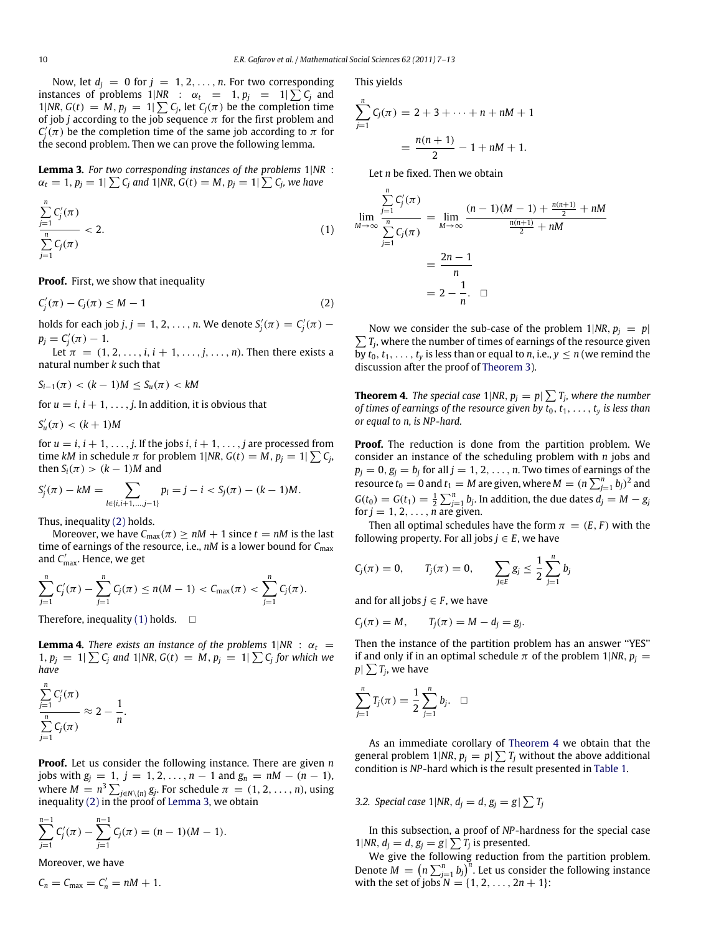Now, let  $d_j = 0$  for  $j = 1, 2, ..., n$ . For two corresponding instances of problems  $1|NR$  :  $\alpha_t = 1, p_j = 1|\sum C_j$  and 1|*NR*,  $G(t) = M$ ,  $p_j = 1 \sum_i C_j$ , let  $C_j(\pi)$  be the completion time of job *j* according to the job sequence  $\pi$  for the first problem and  $C_j'(\pi)$  be the completion time of the same job according to  $\pi$  for the second problem. Then we can prove the following lemma.

<span id="page-3-1"></span>**Lemma 3.** *For two corresponding instances of the problems* 1|*NR* :  $\alpha_t = 1, p_j = 1 | \sum C_j$  and  $1 | NR, G(t) = M, p_j = 1 | \sum C_j$ , we have

$$
\frac{\sum_{j=1}^{n} C'_j(\pi)}{\sum_{j=1}^{n} C_j(\pi)} < 2.
$$
\n(1)

**Proof.** First, we show that inequality

$$
C_j'(\pi) - C_j(\pi) \le M - 1 \tag{2}
$$

holds for each job *j*, *j* = 1, 2, . . . , *n*. We denote  $S'_j(\pi) = C'_j(\pi)$  –  $p_j = C'_j(\pi) - 1.$ 

Let  $\pi = (1, 2, \ldots, i, i + 1, \ldots, j, \ldots, n)$ . Then there exists a natural number *k* such that

 $S_{i-1}(\pi) < (k-1)M \leq S_u(\pi) < kM$ 

for  $u = i$ ,  $i + 1, \ldots, j$ . In addition, it is obvious that

$$
S'_u(\pi) < (k+1)M
$$

for  $u = i$ ,  $i + 1, \ldots, j$ . If the jobs  $i, i + 1, \ldots, j$  are processed from time *kM* in schedule  $\pi$  for problem 1|NR,  $G(t) = M$ ,  $p_j = 1 | \sum_i C_j$ , then  $S_i(\pi) > (k-1)M$  and

$$
S'_{j}(\pi) - kM = \sum_{l \in \{i, i+1, \dots, j-1\}} p_{l} = j - i < S_{j}(\pi) - (k-1)M.
$$

Thus, inequality [\(2\)](#page-3-3) holds.

Moreover, we have  $C_{\text{max}}(\pi) \ge nM + 1$  since  $t = nM$  is the last time of earnings of the resource, i.e., *nM* is a lower bound for  $C_{\text{max}}$ and *C* ′ max. Hence, we get

$$
\sum_{j=1}^n C'_j(\pi) - \sum_{j=1}^n C_j(\pi) \le n(M-1) < C_{\max}(\pi) < \sum_{j=1}^n C_j(\pi).
$$

Therefore, inequality [\(1\)](#page-3-4) holds.  $\square$ 

<span id="page-3-2"></span>**Lemma 4.** *There exists an instance of the problems*  $1|NR : \alpha_t =$ 1,  $p_j = 1 | \sum C_j$  and 1|NR,  $G(t) = M$ ,  $p_j = 1 | \sum C_j$  for which we *have*

$$
\frac{\sum_{j=1}^n C'_j(\pi)}{\sum_{j=1}^n C_j(\pi)} \approx 2 - \frac{1}{n}.
$$

**Proof.** Let us consider the following instance. There are given *n* jobs with  $g_j = 1, j = 1, 2, ..., n - 1$  and  $g_n = nM - (n - 1)$ , where  $M = n^3 \sum_{j \in N \setminus \{n\}} g_j$ . For schedule  $\pi = (1, 2, \ldots, n)$ , using inequality [\(2\)](#page-3-3) in the proof of [Lemma 3,](#page-3-1) we obtain

$$
\sum_{j=1}^{n-1} C'_j(\pi) - \sum_{j=1}^{n-1} C_j(\pi) = (n-1)(M-1).
$$

Moreover, we have

$$
C_n = C_{\text{max}} = C'_n = nM + 1.
$$

This yields

$$
\sum_{j=1}^{n} C_j(\pi) = 2 + 3 + \dots + n + nM + 1
$$

$$
= \frac{n(n+1)}{2} - 1 + nM + 1.
$$

Let *n* be fixed. Then we obtain

<span id="page-3-4"></span>
$$
\lim_{M \to \infty} \frac{\sum_{j=1}^{n} C'_j(\pi)}{\sum_{j=1}^{n} C_j(\pi)} = \lim_{M \to \infty} \frac{(n-1)(M-1) + \frac{n(n+1)}{2} + nM}{\frac{n(n+1)}{2} + nM}
$$

$$
= \frac{2n-1}{n}
$$

$$
= 2 - \frac{1}{n}.\quad \Box
$$

<span id="page-3-3"></span> $\sum T_j$ , where the number of times of earnings of the resource given Now we consider the sub-case of the problem  $1|NR, p_j = p|$ by  $t_0, t_1, \ldots, t_y$  is less than or equal to *n*, i.e.,  $y \le n$  (we remind the discussion after the proof of [Theorem 3\)](#page-2-4).

<span id="page-3-0"></span>**Theorem 4.** The special case 1|NR,  $p_j = p / \sum T_j$ , where the number *of times of earnings of the resource given by*  $t_0, t_1, \ldots, t_v$  *is less than or equal to n, is NP-hard.*

**Proof.** The reduction is done from the partition problem. We consider an instance of the scheduling problem with *n* jobs and  $p_j = 0$ ,  $g_j = b_j$  for all  $j = 1, 2, \ldots, n$ . Two times of earnings of the resource  $t_0 = 0$  and  $t_1 = M$  are given, where  $M = (n \sum_{j=1}^{n} b_j)^2$  and  $G(t_0) = G(t_1) = \frac{1}{2} \sum_{j=1}^n b_j$ . In addition, the due dates  $d_j = M - g_j$ for  $j = 1, 2, \ldots, n$  are given.

Then all optimal schedules have the form  $\pi = (E, F)$  with the following property. For all jobs  $j \in E$ , we have

$$
C_j(\pi) = 0, \qquad T_j(\pi) = 0, \qquad \sum_{j \in E} g_j \leq \frac{1}{2} \sum_{j=1}^n b_j
$$

and for all jobs  $j \in F$ , we have

$$
C_j(\pi) = M, \qquad T_j(\pi) = M - d_j = g_j.
$$

Then the instance of the partition problem has an answer ''YES'' if and only if in an optimal schedule  $\pi$  of the problem 1|*NR*,  $p_j =$  $p \vert \sum T_j$ , we have

$$
\sum_{j=1}^n T_j(\pi) = \frac{1}{2} \sum_{j=1}^n b_j. \quad \Box
$$

As an immediate corollary of [Theorem 4](#page-3-0) we obtain that the general problem 1|NR,  $p_j = p / \sum T_j$  without the above additional condition is *NP*-hard which is the result presented in [Table 1.](#page-2-0)

3.2. Special case  $1|NR, d_j = d, g_j = g \mid \sum T_j$ 

In this subsection, a proof of *NP*-hardness for the special case 1|*NR*,  $d_j = d$ ,  $g_j = g \mid \sum T_j$  is presented.

We give the following reduction from the partition problem. Denote  $M = \left( n \sum_{j=1}^n b_j \right)^n$ . Let us consider the following instance with the set of jobs  $N = \{1, 2, ..., 2n + 1\}$ :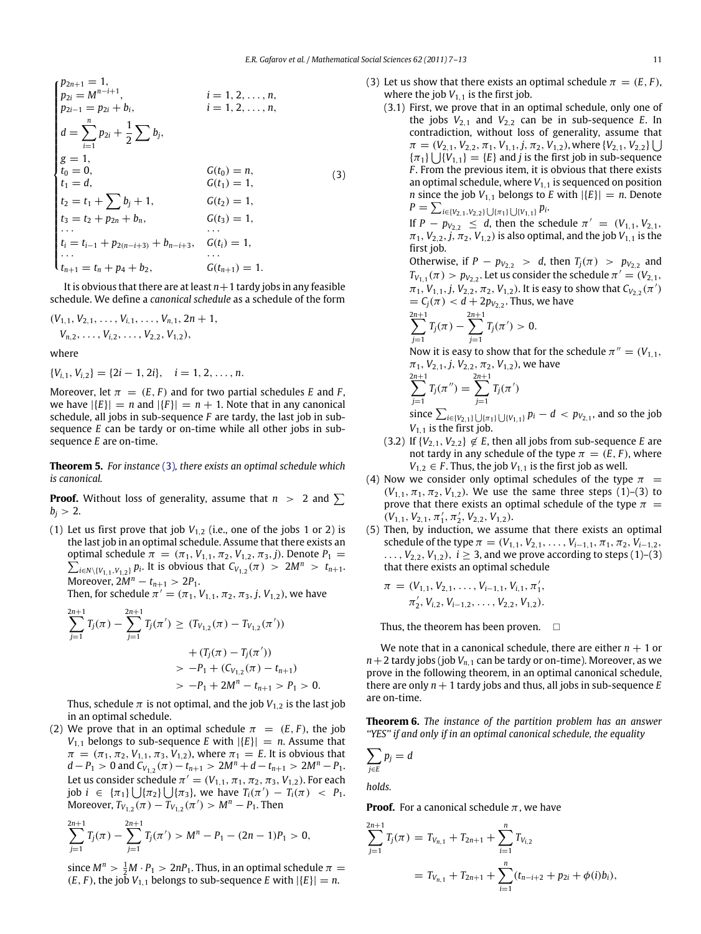$$
\begin{cases}\n p_{2n+1} = 1, & i = 1, 2, \ldots, n, \\
p_{2i} = M^{n-i+1}, & i = 1, 2, \ldots, n, \\
p_{2i-1} = p_{2i} + b_i, & i = 1, 2, \ldots, n, \\
d = \sum_{i=1}^{n} p_{2i} + \frac{1}{2} \sum b_j, \\
g = 1, & G(t_0) = n, \\
t_1 = d, & G(t_1) = 1, \\
t_2 = t_1 + \sum b_j + 1, & G(t_2) = 1, \\
t_3 = t_2 + p_{2n} + b_n, & G(t_3) = 1, \\
\ldots & \ldots & \ldots \\
t_i = t_{i-1} + p_{2(n-i+3)} + b_{n-i+3}, & G(t_i) = 1, \\
\ldots & \ldots & \ldots \\
t_{n+1} = t_n + p_4 + b_2, & G(t_{n+1}) = 1.\n \end{cases} \tag{3}
$$

It is obvious that there are at least  $n+1$  tardy jobs in any feasible schedule. We define a *canonical schedule* as a schedule of the form

$$
(V_{1,1}, V_{2,1}, \ldots, V_{i,1}, \ldots, V_{n,1}, 2n+1, V_{n,2}, \ldots, V_{i,2}, \ldots, V_{2,2}, V_{1,2}),
$$

where

$$
\{V_{i,1}, V_{i,2}\} = \{2i-1, 2i\}, \quad i = 1, 2, \ldots, n.
$$

Moreover, let  $\pi = (E, F)$  and for two partial schedules *E* and *F*, we have  $|\{E\}| = n$  and  $|\{F\}| = n + 1$ . Note that in any canonical schedule, all jobs in sub-sequence *F* are tardy, the last job in subsequence *E* can be tardy or on-time while all other jobs in subsequence *E* are on-time.

**Theorem 5.** *For instance* [\(3\)](#page-4-1)*, there exists an optimal schedule which is canonical.*

**Proof.** Without loss of generality, assume that  $n > 2$  and  $\sum$  $b_i > 2$ .

(1) Let us first prove that job  $V_{1,2}$  (i.e., one of the jobs 1 or 2) is the last job in an optimal schedule. Assume that there exists an optimal schedule  $\pi = (\pi_1, V_{1,1}, \pi_2, V_{1,2}, \pi_3, j)$ . Denote  $P_1 =$  $\sum_{i \in N \setminus \{V_{1,1}, V_{1,2}\}} p_i$ . It is obvious that  $C_{V_{1,2}}(\pi) > 2M^n > t_{n+1}$ . Moreover,  $2M^n - t_{n+1} > 2P_1$ .

Then, for schedule  $\pi' = (\pi_1, V_{1,1}, \pi_2, \pi_3, j, V_{1,2})$ , we have

$$
\sum_{j=1}^{2n+1} T_j(\pi) - \sum_{j=1}^{2n+1} T_j(\pi') \ge (T_{V_{1,2}}(\pi) - T_{V_{1,2}}(\pi'))
$$
  
+  $(T_j(\pi) - T_j(\pi'))$   
 $\qquad \qquad > -P_1 + (C_{V_{1,2}}(\pi) - t_{n+1})$   
 $\qquad \qquad > -P_1 + 2M^n - t_{n+1} > P_1 > 0.$ 

Thus, schedule  $\pi$  is not optimal, and the job  $V_{1,2}$  is the last job in an optimal schedule.

(2) We prove that in an optimal schedule  $\pi = (E, F)$ , the job  $V_{1,1}$  belongs to sub-sequence *E* with  $|\{E\}| = n$ . Assume that  $\pi = (\pi_1, \pi_2, V_{1,1}, \pi_3, V_{1,2})$ , where  $\pi_1 = E$ . It is obvious that  $d - P_1 > 0$  and  $C_{V_{1,2}}(\pi) - t_{n+1} > 2M^n + d - t_{n+1} > 2M^n - P_1$ . Let us consider schedule  $\pi' = (V_{1,1}, \pi_1, \pi_2, \pi_3, V_{1,2})$ . For each  $j$ ob  $i \in {\pi_1} \cup {\pi_2} \cup {\pi_3}$ , we have  $T_i(\pi') - T_i(\pi) < P_1$ . Moreover,  $T_{V_{1,2}}(\pi) - T_{V_{1,2}}(\pi') > M^n - P_1$ . Then

$$
\sum_{j=1}^{2n+1} T_j(\pi) - \sum_{j=1}^{2n+1} T_j(\pi') > M^n - P_1 - (2n-1)P_1 > 0,
$$

since  $M^n > \frac{1}{2}M \cdot P_1 > 2nP_1$ . Thus, in an optimal schedule  $\pi =$  $(E, F)$ , the job  $V_{1,1}$  belongs to sub-sequence *E* with  $|\{E\}| = n$ .

- <span id="page-4-1"></span>(3) Let us show that there exists an optimal schedule  $\pi = (E, F)$ , where the job  $V_{1,1}$  is the first job.
	- (3.1) First, we prove that in an optimal schedule, only one of the jobs  $V_{2,1}$  and  $V_{2,2}$  can be in sub-sequence *E*. In contradiction, without loss of generality, assume that  $\pi = (V_{2,1}, V_{2,2}, \pi_1, V_{1,1}, j, \pi_2, V_{1,2})$ , where  $\{V_{2,1}, V_{2,2}\}\cup\$  $\{\pi_1\} \bigcup \{V_{1,1}\} = \{E\}$  and *j* is the first job in sub-sequence *F* . From the previous item, it is obvious that there exists an optimal schedule, where  $V_{1,1}$  is sequenced on position *n* since the job  $V_{1,1}$  belongs to *E* with  $|\{E\}| = n$ . Denote  $P = \sum_{i \in \{V_{2,1}, V_{2,2}\} \bigcup \{\pi_1\} \bigcup \{V_{1,1}\}} p_i.$

If  $P - p_{V_{2,2}} \le d$ , then the schedule  $\pi' = (V_{1,1}, V_{2,1}, V_{2,2})$  $\pi_1$ ,  $V_{2,2}$ ,  $j$ ,  $\pi_2$ ,  $V_{1,2}$ ) is also optimal, and the job  $V_{1,1}$  is the first job.

Otherwise, if  $P - p_{V_{2,2}} > d$ , then  $T_j(\pi) > p_{V_{2,2}}$  and  $T_{V_{1,1}}(\pi) > p_{V_{2,2}}$ . Let us consider the schedule  $\pi' = (V_{2,1}, V_{1,2})$  $\pi_1$ ,  $V_{1,1}$ ,  $j$ ,  $V_{2,2}$ ,  $\pi_2$ ,  $V_{1,2}$ ). It is easy to show that  $C_{V_{2,2}}(\pi')$  $= C_j(\pi) < d + 2p_{V_{2,2}}$ . Thus, we have

$$
\sum_{j=1}^{2n+1} T_j(\pi) - \sum_{j=1}^{2n+1} T_j(\pi') > 0.
$$

2

Now it is easy to show that for the schedule  $\pi'' = (V_{1,1}, V_{1,2})$  $\pi_1$ ,  $V_{2,1}$ , *j*,  $V_{2,2}$ ,  $\pi_2$ ,  $V_{1,2}$ ), we have

$$
\sum_{j=1}^{2n+1} T_j(\pi'') = \sum_{j=1}^{2n+1} T_j(\pi')
$$
  
since  $\sum_{i \in \{V_{2,1}\} \cup \{\pi_1\} \cup \{V_{1,1}\}} F$ 

 $p_i - d < p_{V_{2,1}}$ , and so the job  $V_{1,1}$  is the first job.

- (3.2) If  ${V_{2,1}, V_{2,2}} \notin E$ , then all jobs from sub-sequence *E* are not tardy in any schedule of the type  $\pi = (E, F)$ , where  $V_{1,2} \in F$ . Thus, the job  $V_{1,1}$  is the first job as well.
- (4) Now we consider only optimal schedules of the type  $\pi$  =  $(V_{1,1}, \pi_1, \pi_2, V_{1,2})$ . We use the same three steps (1)–(3) to prove that there exists an optimal schedule of the type  $\pi$  =  $(V_{1,1}, V_{2,1}, \pi'_1, \pi'_2, V_{2,2}, V_{1,2}).$
- (5) Then, by induction, we assume that there exists an optimal schedule of the type  $\pi = (V_{1,1}, V_{2,1}, \ldots, V_{i-1,1}, \pi_1, \pi_2, V_{i-1,2},$ ...,  $V_{2,2}$ ,  $V_{1,2}$ ),  $i \ge 3$ , and we prove according to steps (1)–(3) that there exists an optimal schedule

$$
\pi = (V_{1,1}, V_{2,1}, \ldots, V_{i-1,1}, V_{i,1}, \pi'_1, \\ \pi'_2, V_{i,2}, V_{i-1,2}, \ldots, V_{2,2}, V_{1,2}).
$$

Thus, the theorem has been proven.  $\square$ 

We note that in a canonical schedule, there are either  $n + 1$  or  $n+2$  tardy jobs (job  $V_{n,1}$  can be tardy or on-time). Moreover, as we prove in the following theorem, in an optimal canonical schedule, there are only  $n + 1$  tardy jobs and thus, all jobs in sub-sequence  $E$ are on-time.

<span id="page-4-0"></span>**Theorem 6.** *The instance of the partition problem has an answer ''YES'' if and only if in an optimal canonical schedule, the equality*

$$
\sum_{j\in E}p_j=d
$$

*holds.*

**Proof.** For a canonical schedule  $\pi$ , we have

$$
\sum_{j=1}^{2n+1} T_j(\pi) = T_{V_{n,1}} + T_{2n+1} + \sum_{i=1}^n T_{V_{i,2}}
$$
  
=  $T_{V_{n,1}} + T_{2n+1} + \sum_{i=1}^n (t_{n-i+2} + p_{2i} + \phi(i)b_i),$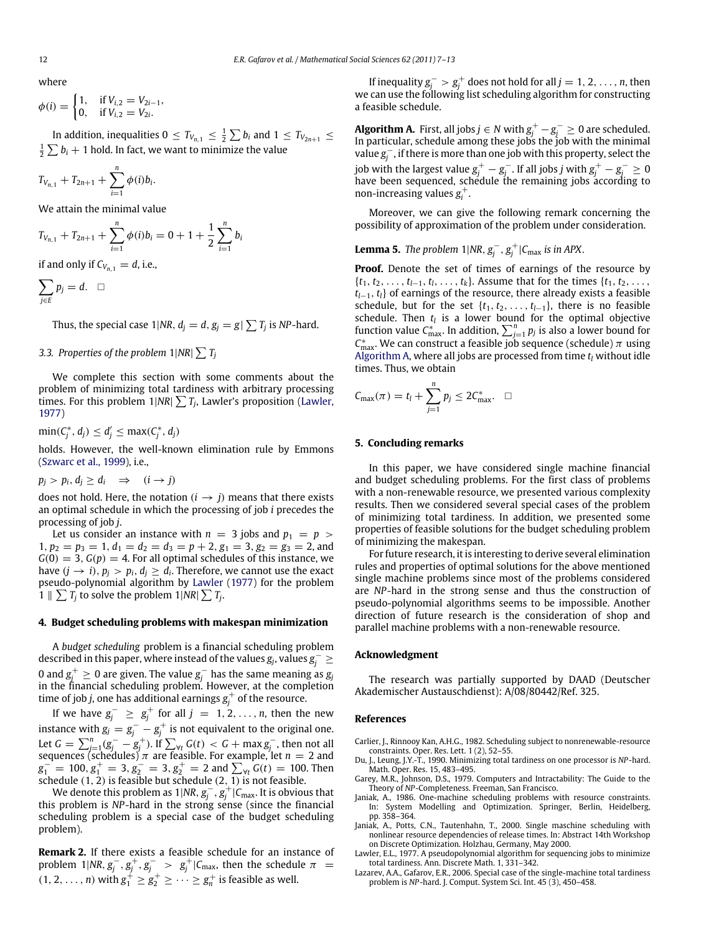where

$$
\phi(i) = \begin{cases} 1, & \text{if } V_{i,2} = V_{2i-1}, \\ 0, & \text{if } V_{i,2} = V_{2i}. \end{cases}
$$

In addition, inequalities  $0 \le T_{V_{n,1}} \le \frac{1}{2} \sum b_i$  and  $1 \le T_{V_{2n+1}} \le$  $\frac{1}{2}\sum b_i + 1$  hold. In fact, we want to minimize the value

$$
T_{V_{n,1}} + T_{2n+1} + \sum_{i=1}^{n} \phi(i)b_i.
$$

We attain the minimal value

$$
T_{V_{n,1}} + T_{2n+1} + \sum_{i=1}^{n} \phi(i)b_i = 0 + 1 + \frac{1}{2} \sum_{i=1}^{n} b_i
$$

if and only if  $C_{V_{n,1}} = d$ , i.e.,

$$
\sum_{j\in E} p_j = d. \quad \Box
$$

Thus, the special case  $1|NR, d_j = d, g_j = g | \sum T_j$  is NP-hard.

# 3.3. Properties of the problem  $1|NR| \sum T_j$

We complete this section with some comments about the problem of minimizing total tardiness with arbitrary processing times. For this problem  $1|N R| \sum T_j$ , Lawler's proposition [\(Lawler,](#page-5-7) [1977\)](#page-5-7)

 $\min(C_j^*, d_j) \leq d'_j \leq \max(C_j^*, d_j)$ 

holds. However, the well-known elimination rule by Emmons [\(Szwarc](#page-6-3) [et al.,](#page-6-3) [1999\)](#page-6-3), i.e.,

$$
p_j > p_i, d_j \geq d_i \Rightarrow (i \to j)
$$

does not hold. Here, the notation  $(i \rightarrow j)$  means that there exists an optimal schedule in which the processing of job *i* precedes the processing of job *j*.

Let us consider an instance with  $n = 3$  jobs and  $p_1 = p$  $1, p_2 = p_3 = 1, d_1 = d_2 = d_3 = p + 2, g_1 = 3, g_2 = g_3 = 2,$  and  $G(0) = 3$ ,  $G(p) = 4$ . For all optimal schedules of this instance, we have  $(j \rightarrow i)$ ,  $p_j > p_i$ ,  $d_j \geq d_i$ . Therefore, we cannot use the exact pseudo-polynomial algorithm by [Lawler](#page-5-7) [\(1977\)](#page-5-7) for the problem  $1 \parallel \sum T_j$  to solve the problem  $1|NR| \sum T_j$ .

## <span id="page-5-3"></span>**4. Budget scheduling problems with makespan minimization**

A *budget scheduling* problem is a financial scheduling problem described in this paper, where instead of the values  $g_j$ , values  $g_j^- \geq$ 0 and  $g^+_j \geq 0$  are given. The value  $g^-_j$  has the same meaning as  $g_j$ in the financial scheduling problem. However, at the completion time of job *j*, one has additional earnings  $g_j^+$  of the resource.

If we have  $g_j^ \geq g_j^+$  for all  $j = 1, 2, \ldots, n$ , then the new instance with  $g_j = g_j^- - g_j^+$  is not equivalent to the original one. Let  $G = \sum_{j=1}^n (g_j^- - g_j^+)$ . If  $\sum_{\forall t} G(t) < G + \max g_j^-$ , then not all sequences (schedules)  $\pi$  are feasible. For example, let  $n = 2$  and  $g_1^- = 100, g_1^+ = 3, g_2^- = 3, g_2^+ = 2$  and  $\sum_{\forall t} G(t) = 100$ . Then schedule (1, 2) is feasible but schedule (2, 1) is not feasible.<br>We denote this problem as  $1MP_{\epsilon}e^{-\frac{1}{2}(C-1)t}$  is obviour-

We denote this problem as 1|NR,  $g_j^-, g_j^+ \vert \mathcal{C}_{\text{max}}$ . It is obvious that this problem is *NP*-hard in the strong sense (since the financial scheduling problem is a special case of the budget scheduling problem).

**Remark 2.** If there exists a feasible schedule for an instance of problem 1|NR,  $g_j^-, g_j^+, g_j^- > g_j^+$ |C<sub>max</sub>, then the schedule  $\pi$  =  $(1, 2, \ldots, n)$  with  $g_1^{\perp} \geq g_2^{\perp} \geq \cdots \geq g_n^{\perp}$  is feasible as well.

If inequality  $g_j^- > g_j^+$  does not hold for all *j* = 1, 2, ..., *n*, then we can use the following list scheduling algorithm for constructing a feasible schedule.

<span id="page-5-8"></span>**Algorithm A.** First, all jobs  $j \in N$  with  $g_j^+ - g_j^- \geq 0$  are scheduled. In particular, schedule among these jobs the job with the minimal value  $g_j^-$ , if there is more than one job with this property, select the job with the largest value  $g^+_j - g^-_j$  . If all jobs *j* with  $g^+_j - g^-_j \geq 0$ have been sequenced, schedule the remaining jobs according to<br>non-increasing values  $\pi^+$ non-increasing values  $g_i^+$ .

Moreover, we can give the following remark concerning the possibility of approximation of the problem under consideration.

**Lemma 5.** *The problem*  $1|NR, g_j^{-}, g_j^{+}|C_{max}$  *is in APX.* 

**Proof.** Denote the set of times of earnings of the resource by  ${t_1, t_2, \ldots, t_{l-1}, t_l, \ldots, t_k}$ . Assume that for the times  ${t_1, t_2, \ldots, t_k}$ *tl*−1, *tl*} of earnings of the resource, there already exists a feasible schedule, but for the set  $\{t_1, t_2, \ldots, t_{l-1}\}$ , there is no feasible schedule. Then  $t_l$  is a lower bound for the optimal objective function value  $C_{\text{max}}^*$ . In addition,  $\sum_{j=1}^n p_j$  is also a lower bound for  $C_{\text{max}}^*$ . We can construct a feasible job sequence (schedule)  $\pi$  using [Algorithm A,](#page-5-8) where all jobs are processed from time *t<sup>l</sup>* without idle times. Thus, we obtain

$$
C_{\max}(\pi) = t_l + \sum_{j=1}^n p_j \leq 2C_{\max}^*.
$$

### **5. Concluding remarks**

In this paper, we have considered single machine financial and budget scheduling problems. For the first class of problems with a non-renewable resource, we presented various complexity results. Then we considered several special cases of the problem of minimizing total tardiness. In addition, we presented some properties of feasible solutions for the budget scheduling problem of minimizing the makespan.

For future research, it is interesting to derive several elimination rules and properties of optimal solutions for the above mentioned single machine problems since most of the problems considered are *NP*-hard in the strong sense and thus the construction of pseudo-polynomial algorithms seems to be impossible. Another direction of future research is the consideration of shop and parallel machine problems with a non-renewable resource.

#### **Acknowledgment**

The research was partially supported by DAAD (Deutscher Akademischer Austauschdienst): A/08/80442/Ref. 325.

#### **References**

- <span id="page-5-0"></span>Carlier, J., Rinnooy Kan, A.H.G., 1982. Scheduling subject to nonrenewable-resource
- <span id="page-5-5"></span>constraints. Oper. Res. Lett. 1 (2), 52–55. Du, J., Leung, J.Y.-T., 1990. Minimizing total tardiness on one processor is *NP*-hard. Math. Oper. Res. 15, 483–495.
- <span id="page-5-4"></span>Garey, M.R., Johnson, D.S., 1979. Computers and Intractability: The Guide to the Theory of *NP*-Completeness. Freeman, San Francisco.
- <span id="page-5-1"></span>Janiak, A., 1986. One-machine scheduling problems with resource constraints. In: System Modelling and Optimization. Springer, Berlin, Heidelberg, pp. 358–364.
- <span id="page-5-2"></span>Janiak, A., Potts, C.N., Tautenhahn, T., 2000. Single maschine scheduling with nonlinear resource dependencies of release times. In: Abstract 14th Workshop on Discrete Optimization. Holzhau, Germany, May 2000.
- <span id="page-5-7"></span>Lawler, E.L., 1977. A pseudopolynomial algorithm for sequencing jobs to minimize total tardiness. Ann. Discrete Math. 1, 331–342.
- <span id="page-5-6"></span>Lazarev, A.A., Gafarov, E.R., 2006. Special case of the single-machine total tardiness problem is *NP*-hard. J. Comput. System Sci. Int. 45 (3), 450–458.